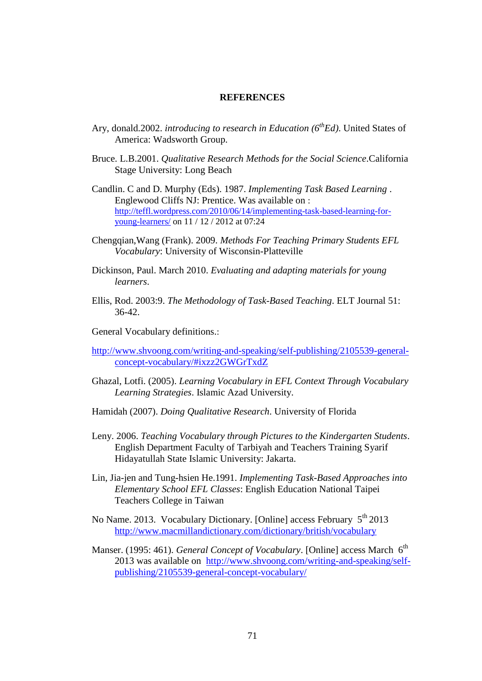## **REFERENCES**

- Ary, donald.2002. *introducing to research in Education (6thEd)*. United States of America: Wadsworth Group.
- Bruce. L.B.2001. *Qualitative Research Methods for the Social Science*.California Stage University: Long Beach
- Candlin. C and D. Murphy (Eds). 1987. *Implementing Task Based Learning* . Englewood Cliffs NJ: Prentice. Was available on : [http://teffl.wordpress.com/2010/06/14/implementing-task-based-learning-for](http://teffl.wordpress.com/2010/06/14/implementing-task-based-learning-for-young-learners/)[young-learners/](http://teffl.wordpress.com/2010/06/14/implementing-task-based-learning-for-young-learners/) on 11 / 12 / 2012 at 07:24
- Chengqian,Wang (Frank). 2009. *Methods For Teaching Primary Students EFL Vocabulary*: University of Wisconsin-Platteville
- Dickinson, Paul. March 2010. *Evaluating and adapting materials for young learners*.
- Ellis, Rod. 2003:9. *The Methodology of Task-Based Teaching*. ELT Journal 51: 36-42.
- General Vocabulary definitions.:
- [http://www.shvoong.com/writing-and-speaking/self-publishing/2105539-general](http://www.shvoong.com/writing-and-speaking/self-publishing/2105539-general-concept-vocabulary/#ixzz2GWGrTxdZ)[concept-vocabulary/#ixzz2GWGrTxdZ](http://www.shvoong.com/writing-and-speaking/self-publishing/2105539-general-concept-vocabulary/#ixzz2GWGrTxdZ)
- Ghazal, Lotfi. (2005). *Learning Vocabulary in EFL Context Through Vocabulary Learning Strategies*. Islamic Azad University.
- Hamidah (2007). *Doing Qualitative Research*. University of Florida
- Leny. 2006. *Teaching Vocabulary through Pictures to the Kindergarten Students*. English Department Faculty of Tarbiyah and Teachers Training Syarif Hidayatullah State Islamic University: Jakarta.
- Lin, Jia-jen and Tung-hsien He.1991. *Implementing Task-Based Approaches into Elementary School EFL Classes*: English Education National Taipei Teachers College in Taiwan
- No Name. 2013. Vocabulary Dictionary. [Online] access February  $5<sup>th</sup> 2013$ <http://www.macmillandictionary.com/dictionary/british/vocabulary>
- Manser. (1995: 461). *General Concept of Vocabulary*. [Online] access March 6<sup>th</sup> 2013 was available on [http://www.shvoong.com/writing-and-speaking/self](http://www.shvoong.com/writing-and-speaking/self-publishing/2105539-general-concept-vocabulary/)[publishing/2105539-general-concept-vocabulary/](http://www.shvoong.com/writing-and-speaking/self-publishing/2105539-general-concept-vocabulary/)